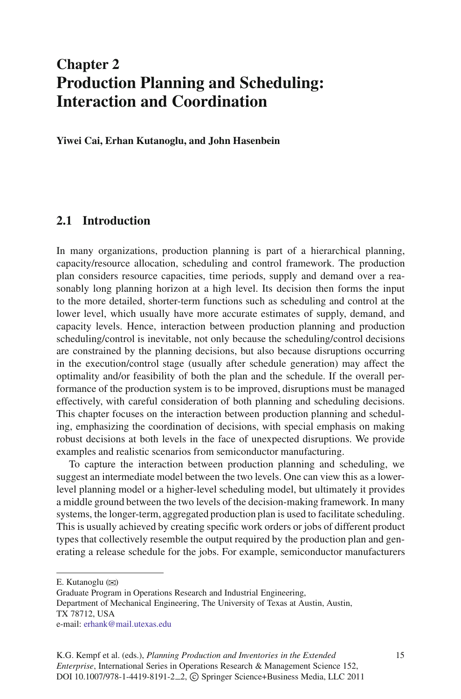# **Chapter 2 Production Planning and Scheduling: Interaction and Coordination**

**Yiwei Cai, Erhan Kutanoglu, and John Hasenbein**

# **2.1 Introduction**

In many organizations, production planning is part of a hierarchical planning, capacity/resource allocation, scheduling and control framework. The production plan considers resource capacities, time periods, supply and demand over a reasonably long planning horizon at a high level. Its decision then forms the input to the more detailed, shorter-term functions such as scheduling and control at the lower level, which usually have more accurate estimates of supply, demand, and capacity levels. Hence, interaction between production planning and production scheduling/control is inevitable, not only because the scheduling/control decisions are constrained by the planning decisions, but also because disruptions occurring in the execution/control stage (usually after schedule generation) may affect the optimality and/or feasibility of both the plan and the schedule. If the overall performance of the production system is to be improved, disruptions must be managed effectively, with careful consideration of both planning and scheduling decisions. This chapter focuses on the interaction between production planning and scheduling, emphasizing the coordination of decisions, with special emphasis on making robust decisions at both levels in the face of unexpected disruptions. We provide examples and realistic scenarios from semiconductor manufacturing.

To capture the interaction between production planning and scheduling, we suggest an intermediate model between the two levels. One can view this as a lowerlevel planning model or a higher-level scheduling model, but ultimately it provides a middle ground between the two levels of the decision-making framework. In many systems, the longer-term, aggregated production plan is used to facilitate scheduling. This is usually achieved by creating specific work orders or jobs of different product types that collectively resemble the output required by the production plan and generating a release schedule for the jobs. For example, semiconductor manufacturers

E. Kutanoglu (⊠)

Graduate Program in Operations Research and Industrial Engineering, Department of Mechanical Engineering, The University of Texas at Austin, Austin, TX 78712, USA e-mail: <erhank@mail.utexas.edu>

K.G. Kempf et al. (eds.), *Planning Production and Inventories in the Extended Enterprise*, International Series in Operations Research & Management Science 152, DOI 10.1007/978-1-4419-8191-2<sub>--</sub>2, © Springer Science+Business Media, LLC 2011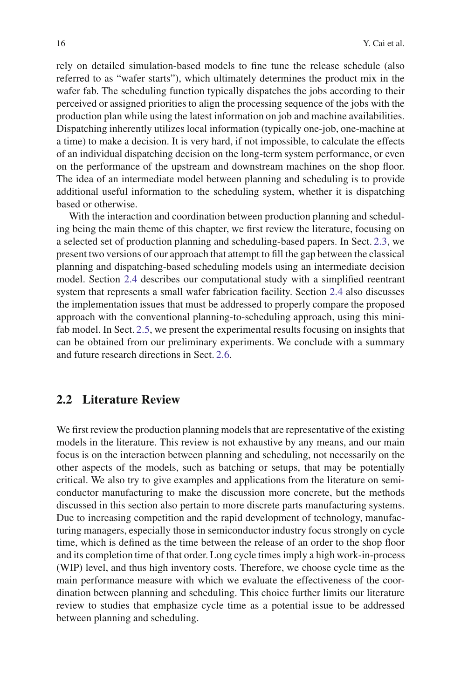rely on detailed simulation-based models to fine tune the release schedule (also referred to as "wafer starts"), which ultimately determines the product mix in the wafer fab. The scheduling function typically dispatches the jobs according to their perceived or assigned priorities to align the processing sequence of the jobs with the production plan while using the latest information on job and machine availabilities. Dispatching inherently utilizes local information (typically one-job, one-machine at a time) to make a decision. It is very hard, if not impossible, to calculate the effects of an individual dispatching decision on the long-term system performance, or even on the performance of the upstream and downstream machines on the shop floor. The idea of an intermediate model between planning and scheduling is to provide additional useful information to the scheduling system, whether it is dispatching based or otherwise.

With the interaction and coordination between production planning and scheduling being the main theme of this chapter, we first review the literature, focusing on a selected set of production planning and scheduling-based papers. In Sect. [2.3,](#page-6-0) we present two versions of our approach that attempt to fill the gap between the classical planning and dispatching-based scheduling models using an intermediate decision model. Section [2.4](#page-13-0) describes our computational study with a simplified reentrant system that represents a small wafer fabrication facility. Section [2.4](#page-13-0) also discusses the implementation issues that must be addressed to properly compare the proposed approach with the conventional planning-to-scheduling approach, using this minifab model. In Sect. [2.5,](#page-16-0) we present the experimental results focusing on insights that can be obtained from our preliminary experiments. We conclude with a summary and future research directions in Sect. [2.6.](#page-25-0)

## **2.2 Literature Review**

We first review the production planning models that are representative of the existing models in the literature. This review is not exhaustive by any means, and our main focus is on the interaction between planning and scheduling, not necessarily on the other aspects of the models, such as batching or setups, that may be potentially critical. We also try to give examples and applications from the literature on semiconductor manufacturing to make the discussion more concrete, but the methods discussed in this section also pertain to more discrete parts manufacturing systems. Due to increasing competition and the rapid development of technology, manufacturing managers, especially those in semiconductor industry focus strongly on cycle time, which is defined as the time between the release of an order to the shop floor and its completion time of that order. Long cycle times imply a high work-in-process (WIP) level, and thus high inventory costs. Therefore, we choose cycle time as the main performance measure with which we evaluate the effectiveness of the coordination between planning and scheduling. This choice further limits our literature review to studies that emphasize cycle time as a potential issue to be addressed between planning and scheduling.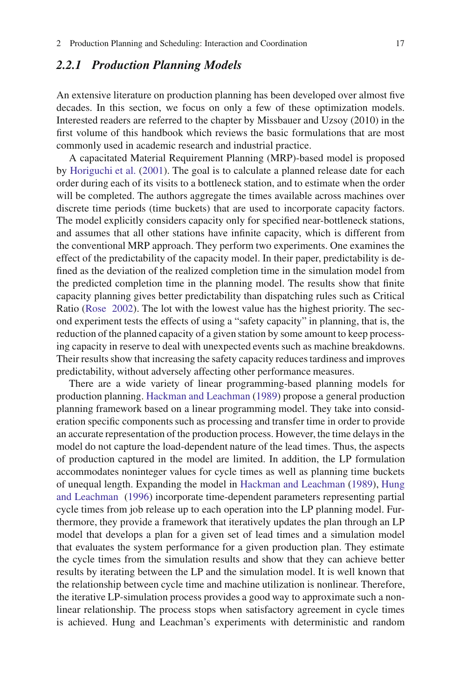### *2.2.1 Production Planning Models*

An extensive literature on production planning has been developed over almost five decades. In this section, we focus on only a few of these optimization models. Interested readers are referred to the chapter by Missbauer and Uzsoy (2010) in the first volume of this handbook which reviews the basic formulations that are most commonly used in academic research and industrial practice.

A capacitated Material Requirement Planning (MRP)-based model is proposed by [Horiguchi et al.](#page-27-0) [\(2001\)](#page-27-0). The goal is to calculate a planned release date for each order during each of its visits to a bottleneck station, and to estimate when the order will be completed. The authors aggregate the times available across machines over discrete time periods (time buckets) that are used to incorporate capacity factors. The model explicitly considers capacity only for specified near-bottleneck stations, and assumes that all other stations have infinite capacity, which is different from the conventional MRP approach. They perform two experiments. One examines the effect of the predictability of the capacity model. In their paper, predictability is defined as the deviation of the realized completion time in the simulation model from the predicted completion time in the planning model. The results show that finite capacity planning gives better predictability than dispatching rules such as Critical Ratio [\(Rose 2002\)](#page-27-1). The lot with the lowest value has the highest priority. The second experiment tests the effects of using a "safety capacity" in planning, that is, the reduction of the planned capacity of a given station by some amount to keep processing capacity in reserve to deal with unexpected events such as machine breakdowns. Their results show that increasing the safety capacity reduces tardiness and improves predictability, without adversely affecting other performance measures.

There are a wide variety of linear programming-based planning models for production planning. [Hackman and Leachman](#page-27-2) [\(1989](#page-27-2)) propose a general production planning framework based on a linear programming model. They take into consideration specific components such as processing and transfer time in order to provide an accurate representation of the production process. However, the time delays in the model do not capture the load-dependent nature of the lead times. Thus, the aspects of production captured in the model are limited. In addition, the LP formulation accommodates noninteger values for cycle times as well as planning time buckets of unequal len[gth.](#page-27-3) [Expanding](#page-27-3) [the](#page-27-3) [model](#page-27-3) [in](#page-27-3) [Hackman and Leachman](#page-27-2) [\(1989\)](#page-27-2), Hung and Leachman [\(1996\)](#page-27-3) incorporate time-dependent parameters representing partial cycle times from job release up to each operation into the LP planning model. Furthermore, they provide a framework that iteratively updates the plan through an LP model that develops a plan for a given set of lead times and a simulation model that evaluates the system performance for a given production plan. They estimate the cycle times from the simulation results and show that they can achieve better results by iterating between the LP and the simulation model. It is well known that the relationship between cycle time and machine utilization is nonlinear. Therefore, the iterative LP-simulation process provides a good way to approximate such a nonlinear relationship. The process stops when satisfactory agreement in cycle times is achieved. Hung and Leachman's experiments with deterministic and random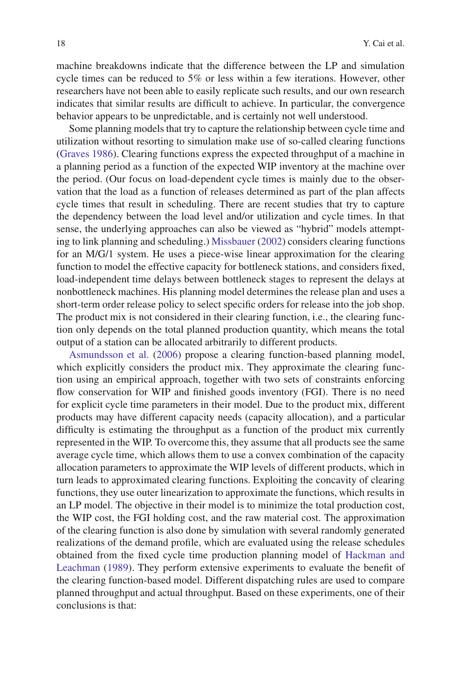machine breakdowns indicate that the difference between the LP and simulation cycle times can be reduced to 5% or less within a few iterations. However, other researchers have not been able to easily replicate such results, and our own research indicates that similar results are difficult to achieve. In particular, the convergence behavior appears to be unpredictable, and is certainly not well understood.

Some planning models that try to capture the relationship between cycle time and utilization without resorting to simulation make use of so-called clearing functions [\(Graves 1986\)](#page-27-4). Clearing functions express the expected throughput of a machine in a planning period as a function of the expected WIP inventory at the machine over the period. (Our focus on load-dependent cycle times is mainly due to the observation that the load as a function of releases determined as part of the plan affects cycle times that result in scheduling. There are recent studies that try to capture the dependency between the load level and/or utilization and cycle times. In that sense, the underlying approaches can also be viewed as "hybrid" models attempting to link planning and scheduling.) [Missbauer](#page-27-5) [\(2002\)](#page-27-5) considers clearing functions for an M/G/1 system. He uses a piece-wise linear approximation for the clearing function to model the effective capacity for bottleneck stations, and considers fixed, load-independent time delays between bottleneck stages to represent the delays at nonbottleneck machines. His planning model determines the release plan and uses a short-term order release policy to select specific orders for release into the job shop. The product mix is not considered in their clearing function, i.e., the clearing function only depends on the total planned production quantity, which means the total [output](#page-26-0) [of](#page-26-0) [a](#page-26-0) [station](#page-26-0) [can](#page-26-0) be allocated arbitrarily to different products.

Asmundsson et al. [\(2006](#page-26-0)) propose a clearing function-based planning model, which explicitly considers the product mix. They approximate the clearing function using an empirical approach, together with two sets of constraints enforcing flow conservation for WIP and finished goods inventory (FGI). There is no need for explicit cycle time parameters in their model. Due to the product mix, different products may have different capacity needs (capacity allocation), and a particular difficulty is estimating the throughput as a function of the product mix currently represented in the WIP. To overcome this, they assume that all products see the same average cycle time, which allows them to use a convex combination of the capacity allocation parameters to approximate the WIP levels of different products, which in turn leads to approximated clearing functions. Exploiting the concavity of clearing functions, they use outer linearization to approximate the functions, which results in an LP model. The objective in their model is to minimize the total production cost, the WIP cost, the FGI holding cost, and the raw material cost. The approximation of the clearing function is also done by simulation with several randomly generated realizations of the demand profile, which are evaluated using the release schedules obtained f[rom](#page-27-2) [the](#page-27-2) [fixed](#page-27-2) [cycle](#page-27-2) [time](#page-27-2) [production](#page-27-2) [planning](#page-27-2) [model](#page-27-2) [of](#page-27-2) Hackman and Leachman [\(1989](#page-27-2)). They perform extensive experiments to evaluate the benefit of the clearing function-based model. Different dispatching rules are used to compare planned throughput and actual throughput. Based on these experiments, one of their conclusions is that: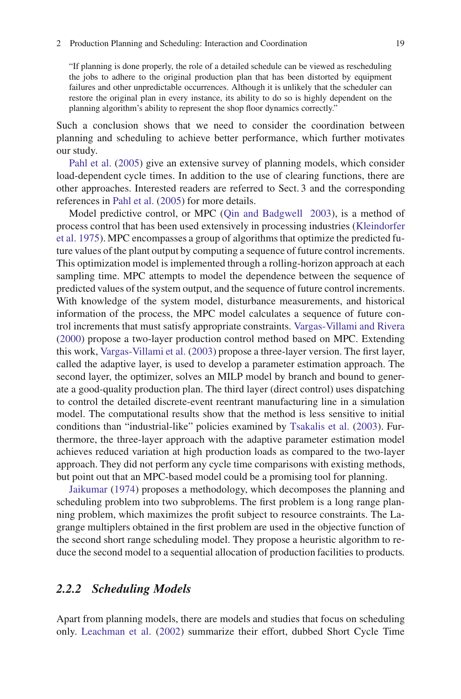"If planning is done properly, the role of a detailed schedule can be viewed as rescheduling the jobs to adhere to the original production plan that has been distorted by equipment failures and other unpredictable occurrences. Although it is unlikely that the scheduler can restore the original plan in every instance, its ability to do so is highly dependent on the planning algorithm's ability to represent the shop floor dynamics correctly."

Such a conclusion shows that we need to consider the coordination between planning and scheduling to achieve better performance, which further motivates [our](#page-27-6) [study.](#page-27-6)

Pahl et al. [\(2005\)](#page-27-6) give an extensive survey of planning models, which consider load-dependent cycle times. In addition to the use of clearing functions, there are other approaches. Interested readers are referred to Sect. 3 and the corresponding references in [Pahl et al.](#page-27-6) [\(2005\)](#page-27-6) for more details.

Model predictive control, or MPC [\(Qin and Badgwell 2003\)](#page-27-7), is a method of process control that has been used extensively in processing industries (Kleindorfer et al. [1975\)](#page-27-8). MPC encompasses a group of algorithms that optimize the predicted future values of the plant output by computing a sequence of future control increments. This optimization model is implemented through a rolling-horizon approach at each sampling time. MPC attempts to model the dependence between the sequence of predicted values of the system output, and the sequence of future control increments. With knowledge of the system model, disturbance measurements, and historical information of the process, the MPC model calculates a sequence of future control increments that must satisfy appropriate constraints. [Vargas-Villami and Rivera](#page-27-9) [\(2000](#page-27-9)) propose a two-layer production control method based on MPC. Extending this work, [Vargas-Villami et al.](#page-27-10) [\(2003\)](#page-27-10) propose a three-layer version. The first layer, called the adaptive layer, is used to develop a parameter estimation approach. The second layer, the optimizer, solves an MILP model by branch and bound to generate a good-quality production plan. The third layer (direct control) uses dispatching to control the detailed discrete-event reentrant manufacturing line in a simulation model. The computational results show that the method is less sensitive to initial conditions than "industrial-like" policies examined by [Tsakalis et al.](#page-27-11) [\(2003\)](#page-27-11). Furthermore, the three-layer approach with the adaptive parameter estimation model achieves reduced variation at high production loads as compared to the two-layer approach. They did not perform any cycle time comparisons with existing methods, but point out that an MPC-based model could be a promising tool for planning.

Jaikumar [\(1974\)](#page-27-12) proposes a methodology, which decomposes the planning and scheduling problem into two subproblems. The first problem is a long range planning problem, which maximizes the profit subject to resource constraints. The Lagrange multiplers obtained in the first problem are used in the objective function of the second short range scheduling model. They propose a heuristic algorithm to reduce the second model to a sequential allocation of production facilities to products.

### *2.2.2 Scheduling Models*

Apart from planning models, there are models and studies that focus on scheduling only. [Leachman et al.](#page-27-13) [\(2002\)](#page-27-13) summarize their effort, dubbed Short Cycle Time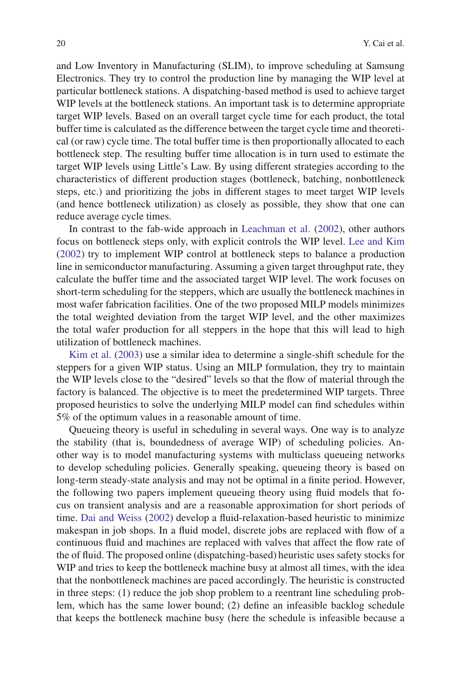and Low Inventory in Manufacturing (SLIM), to improve scheduling at Samsung Electronics. They try to control the production line by managing the WIP level at particular bottleneck stations. A dispatching-based method is used to achieve target WIP levels at the bottleneck stations. An important task is to determine appropriate target WIP levels. Based on an overall target cycle time for each product, the total buffer time is calculated as the difference between the target cycle time and theoretical (or raw) cycle time. The total buffer time is then proportionally allocated to each bottleneck step. The resulting buffer time allocation is in turn used to estimate the target WIP levels using Little's Law. By using different strategies according to the characteristics of different production stages (bottleneck, batching, nonbottleneck steps, etc.) and prioritizing the jobs in different stages to meet target WIP levels (and hence bottleneck utilization) as closely as possible, they show that one can reduce average cycle times.

In contrast to the fab-wide approach in [Leachman et al.](#page-27-13) [\(2002\)](#page-27-13), other authors focus on bottleneck steps only, with explicit controls the WIP level. [Lee and Kim](#page-27-14) [\(2002](#page-27-14)) try to implement WIP control at bottleneck steps to balance a production line in semiconductor manufacturing. Assuming a given target throughput rate, they calculate the buffer time and the associated target WIP level. The work focuses on short-term scheduling for the steppers, which are usually the bottleneck machines in most wafer fabrication facilities. One of the two proposed MILP models minimizes the total weighted deviation from the target WIP level, and the other maximizes the total wafer production for all steppers in the hope that this will lead to high [utilization](#page-27-15) [of](#page-27-15) bottleneck machines.

Kim et al. [\(2003\)](#page-27-15) use a similar idea to determine a single-shift schedule for the steppers for a given WIP status. Using an MILP formulation, they try to maintain the WIP levels close to the "desired" levels so that the flow of material through the factory is balanced. The objective is to meet the predetermined WIP targets. Three proposed heuristics to solve the underlying MILP model can find schedules within 5% of the optimum values in a reasonable amount of time.

Queueing theory is useful in scheduling in several ways. One way is to analyze the stability (that is, boundedness of average WIP) of scheduling policies. Another way is to model manufacturing systems with multiclass queueing networks to develop scheduling policies. Generally speaking, queueing theory is based on long-term steady-state analysis and may not be optimal in a finite period. However, the following two papers implement queueing theory using fluid models that focus on transient analysis and are a reasonable approximation for short periods of time. [Dai and Weiss](#page-27-16) [\(2002\)](#page-27-16) develop a fluid-relaxation-based heuristic to minimize makespan in job shops. In a fluid model, discrete jobs are replaced with flow of a continuous fluid and machines are replaced with valves that affect the flow rate of the of fluid. The proposed online (dispatching-based) heuristic uses safety stocks for WIP and tries to keep the bottleneck machine busy at almost all times, with the idea that the nonbottleneck machines are paced accordingly. The heuristic is constructed in three steps: (1) reduce the job shop problem to a reentrant line scheduling problem, which has the same lower bound; (2) define an infeasible backlog schedule that keeps the bottleneck machine busy (here the schedule is infeasible because a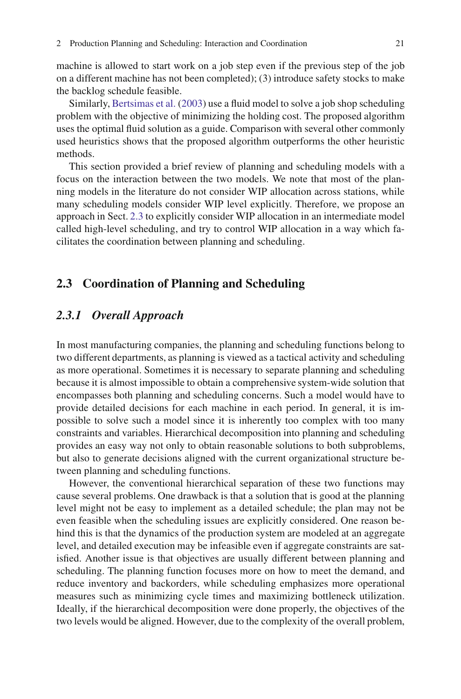machine is allowed to start work on a job step even if the previous step of the job on a different machine has not been completed); (3) introduce safety stocks to make the backlog schedule feasible.

Similarly, [Bertsimas et al.](#page-26-1) [\(2003](#page-26-1)) use a fluid model to solve a job shop scheduling problem with the objective of minimizing the holding cost. The proposed algorithm uses the optimal fluid solution as a guide. Comparison with several other commonly used heuristics shows that the proposed algorithm outperforms the other heuristic methods.

This section provided a brief review of planning and scheduling models with a focus on the interaction between the two models. We note that most of the planning models in the literature do not consider WIP allocation across stations, while many scheduling models consider WIP level explicitly. Therefore, we propose an approach in Sect. [2.3](#page-6-0) to explicitly consider WIP allocation in an intermediate model called high-level scheduling, and try to control WIP allocation in a way which facilitates the coordination between planning and scheduling.

## <span id="page-6-0"></span>**2.3 Coordination of Planning and Scheduling**

# *2.3.1 Overall Approach*

In most manufacturing companies, the planning and scheduling functions belong to two different departments, as planning is viewed as a tactical activity and scheduling as more operational. Sometimes it is necessary to separate planning and scheduling because it is almost impossible to obtain a comprehensive system-wide solution that encompasses both planning and scheduling concerns. Such a model would have to provide detailed decisions for each machine in each period. In general, it is impossible to solve such a model since it is inherently too complex with too many constraints and variables. Hierarchical decomposition into planning and scheduling provides an easy way not only to obtain reasonable solutions to both subproblems, but also to generate decisions aligned with the current organizational structure between planning and scheduling functions.

However, the conventional hierarchical separation of these two functions may cause several problems. One drawback is that a solution that is good at the planning level might not be easy to implement as a detailed schedule; the plan may not be even feasible when the scheduling issues are explicitly considered. One reason behind this is that the dynamics of the production system are modeled at an aggregate level, and detailed execution may be infeasible even if aggregate constraints are satisfied. Another issue is that objectives are usually different between planning and scheduling. The planning function focuses more on how to meet the demand, and reduce inventory and backorders, while scheduling emphasizes more operational measures such as minimizing cycle times and maximizing bottleneck utilization. Ideally, if the hierarchical decomposition were done properly, the objectives of the two levels would be aligned. However, due to the complexity of the overall problem,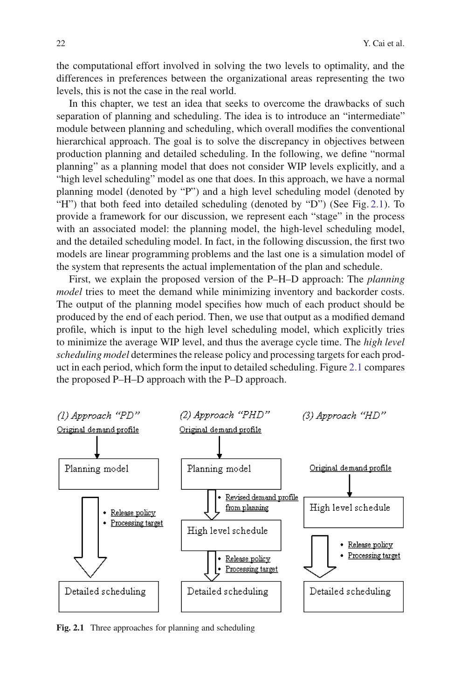the computational effort involved in solving the two levels to optimality, and the differences in preferences between the organizational areas representing the two levels, this is not the case in the real world.

In this chapter, we test an idea that seeks to overcome the drawbacks of such separation of planning and scheduling. The idea is to introduce an "intermediate" module between planning and scheduling, which overall modifies the conventional hierarchical approach. The goal is to solve the discrepancy in objectives between production planning and detailed scheduling. In the following, we define "normal planning" as a planning model that does not consider WIP levels explicitly, and a "high level scheduling" model as one that does. In this approach, we have a normal planning model (denoted by "P") and a high level scheduling model (denoted by "H") that both feed into detailed scheduling (denoted by "D") (See Fig. [2.1\)](#page-7-0). To provide a framework for our discussion, we represent each "stage" in the process with an associated model: the planning model, the high-level scheduling model, and the detailed scheduling model. In fact, in the following discussion, the first two models are linear programming problems and the last one is a simulation model of the system that represents the actual implementation of the plan and schedule.

First, we explain the proposed version of the P–H–D approach: The *planning model* tries to meet the demand while minimizing inventory and backorder costs. The output of the planning model specifies how much of each product should be produced by the end of each period. Then, we use that output as a modified demand profile, which is input to the high level scheduling model, which explicitly tries to minimize the average WIP level, and thus the average cycle time. The *high level scheduling model* determines the release policy and processing targets for each product in each period, which form the input to detailed scheduling. Figure [2.1](#page-7-0) compares the proposed P–H–D approach with the P–D approach.



<span id="page-7-0"></span>**Fig. 2.1** Three approaches for planning and scheduling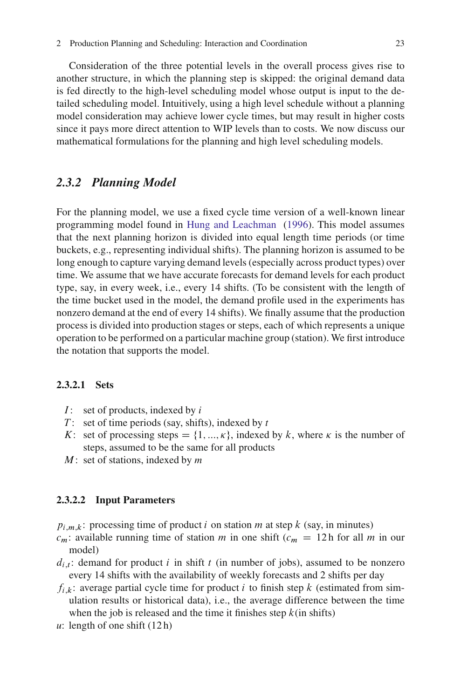Consideration of the three potential levels in the overall process gives rise to another structure, in which the planning step is skipped: the original demand data is fed directly to the high-level scheduling model whose output is input to the detailed scheduling model. Intuitively, using a high level schedule without a planning model consideration may achieve lower cycle times, but may result in higher costs since it pays more direct attention to WIP levels than to costs. We now discuss our mathematical formulations for the planning and high level scheduling models.

# *2.3.2 Planning Model*

For the planning model, we use a fixed cycle time version of a well-known linear programming model found in [Hung and Leachman](#page-27-3) [\(1996\)](#page-27-3). This model assumes that the next planning horizon is divided into equal length time periods (or time buckets, e.g., representing individual shifts). The planning horizon is assumed to be long enough to capture varying demand levels (especially across product types) over time. We assume that we have accurate forecasts for demand levels for each product type, say, in every week, i.e., every 14 shifts. (To be consistent with the length of the time bucket used in the model, the demand profile used in the experiments has nonzero demand at the end of every 14 shifts). We finally assume that the production process is divided into production stages or steps, each of which represents a unique operation to be performed on a particular machine group (station). We first introduce the notation that supports the model.

#### **2.3.2.1 Sets**

- I : set of products, indexed by *i*
- T: set of time periods (say, shifts), indexed by *t*
- K: set of processing steps = {1, ...,  $\kappa$ }, indexed by k, where  $\kappa$  is the number of steps assumed to be the same for all products steps, assumed to be the same for all products
- M: set of stations, indexed by *m*

#### **2.3.2.2 Input Parameters**

 $p_{i,m,k}$ : processing time of product i on station m at step k (say, in minutes)

- $c_m$ : available running time of station m in one shift ( $c_m = 12$  h for all m in our model)
- $d_{i,t}$ : demand for product i in shift t (in number of jobs), assumed to be nonzero every 14 shifts with the availability of weekly forecasts and 2 shifts per day
- $f_{i,k}$ : average partial cycle time for product i to finish step k (estimated from simulation results or historical data), i.e., the average difference between the time when the job is released and the time it finishes step  $k$ (in shifts)
- *u*: length of one shift (12 h)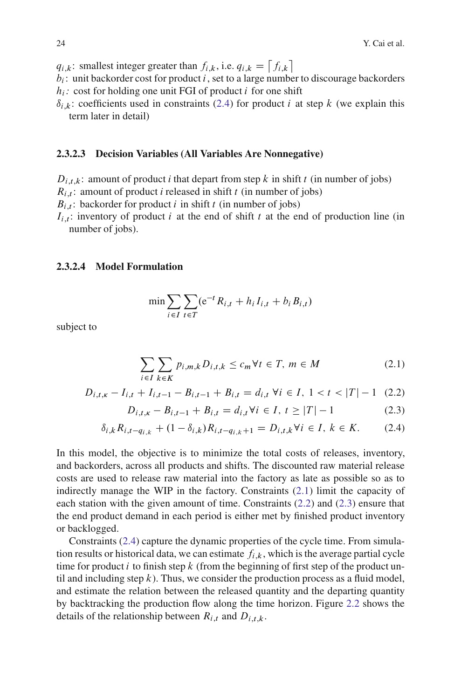- $q_{i,k}$ : smallest integer greater than  $f_{i,k}$ , i.e.  $q_{i,k} = \begin{bmatrix} f_{i,k} \\ h_{i,k} \end{bmatrix}$
- $b_i$ : unit backorder cost for product i, set to a large number to discourage backorders  $h_i$ : cost for holding one unit FGI of product  $i$  for one shift
- $\delta_{i,k}$ : coefficients used in constraints [\(2.4\)](#page-9-0) for product i at step k (we explain this term later in detail)

#### **2.3.2.3 Decision Variables (All Variables Are Nonnegative)**

- $D_{i,t,k}$ : amount of product *i* that depart from step k in shift t (in number of jobs)
- $R_{i,t}$ : amount of product *i* released in shift *t* (in number of jobs)
- $B_{i,t}$ : backorder for product i in shift t (in number of jobs)
- $I_{i,t}$ : inventory of product i at the end of shift t at the end of production line (in number of jobs).

#### **2.3.2.4 Model Formulation**

$$
\min \sum_{i \in I} \sum_{t \in T} (e^{-t} R_{i,t} + h_i I_{i,t} + b_i B_{i,t})
$$

subject to

$$
\sum_{i \in I} \sum_{k \in K} p_{i,m,k} D_{i,t,k} \le c_m \forall t \in T, m \in M
$$
 (2.1)

<span id="page-9-0"></span>
$$
D_{i,t,\kappa} - I_{i,t} + I_{i,t-1} - B_{i,t-1} + B_{i,t} = d_{i,t} \,\forall i \in I, \ 1 < t < |T| - 1 \tag{2.2}
$$

$$
D_{i,t,\kappa} - B_{i,t-1} + B_{i,t} = d_{i,t} \forall i \in I, t \ge |T| - 1
$$
\n(2.3)

$$
\delta_{i,k} R_{i,t-q_{i,k}} + (1 - \delta_{i,k}) R_{i,t-q_{i,k}+1} = D_{i,t,k} \forall i \in I, k \in K.
$$
 (2.4)

In this model, the objective is to minimize the total costs of releases, inventory, and backorders, across all products and shifts. The discounted raw material release costs are used to release raw material into the factory as late as possible so as to indirectly manage the WIP in the factory. Constraints [\(2.1\)](#page-9-0) limit the capacity of each station with the given amount of time. Constraints [\(2.2\)](#page-9-0) and [\(2.3\)](#page-9-0) ensure that the end product demand in each period is either met by finished product inventory or backlogged.

Constraints [\(2.4\)](#page-9-0) capture the dynamic properties of the cycle time. From simulation results or historical data, we can estimate  $f_{i,k}$ , which is the average partial cycle time for product i to finish step k (from the beginning of first step of the product until and including step  $k$ ). Thus, we consider the production process as a fluid model, and estimate the relation between the released quantity and the departing quantity by backtracking the production flow along the time horizon. Figure [2.2](#page-10-0) shows the details of the relationship between  $R_{i,t}$  and  $D_{i,t,k}$ .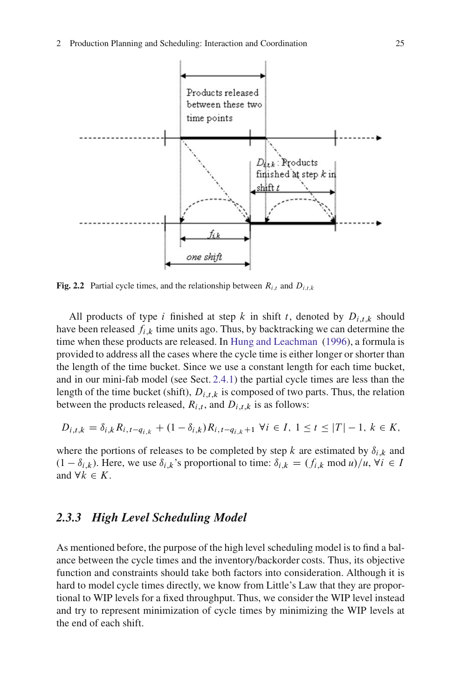

<span id="page-10-0"></span>**Fig. 2.2** Partial cycle times, and the relationship between  $R_{i,t}$  and  $D_{i,t,k}$ 

All products of type i finished at step k in shift t, denoted by  $D_{i,t,k}$  should have been released  $f_{i,k}$  time units ago. Thus, by backtracking we can determine the time when these products are released. In [Hung and Leachman](#page-27-3) [\(1996](#page-27-3)), a formula is provided to address all the cases where the cycle time is either longer or shorter than the length of the time bucket. Since we use a constant length for each time bucket, and in our mini-fab model (see Sect. [2.4.1\)](#page-13-1) the partial cycle times are less than the length of the time bucket (shift),  $D_{i,t,k}$  is composed of two parts. Thus, the relation between the products released,  $R_{i,t}$ , and  $D_{i,t,k}$  is as follows:

$$
D_{i,t,k} = \delta_{i,k} R_{i,t-q_{i,k}} + (1-\delta_{i,k}) R_{i,t-q_{i,k}+1} \ \forall i \in I, \ 1 \leq t \leq |T|-1, \ k \in K,
$$

where the portions of releases to be completed by step k are estimated by  $\delta_{i,k}$  and  $(1 - \delta_{i,k})$ . Here, we use  $\delta_{i,k}$ 's proportional to time:  $\delta_{i,k} = (f_{i,k} \mod u)/u$ ,  $\forall i \in I$ and  $\forall k \in K$ .

#### *2.3.3 High Level Scheduling Model*

As mentioned before, the purpose of the high level scheduling model is to find a balance between the cycle times and the inventory/backorder costs. Thus, its objective function and constraints should take both factors into consideration. Although it is hard to model cycle times directly, we know from Little's Law that they are proportional to WIP levels for a fixed throughput. Thus, we consider the WIP level instead and try to represent minimization of cycle times by minimizing the WIP levels at the end of each shift.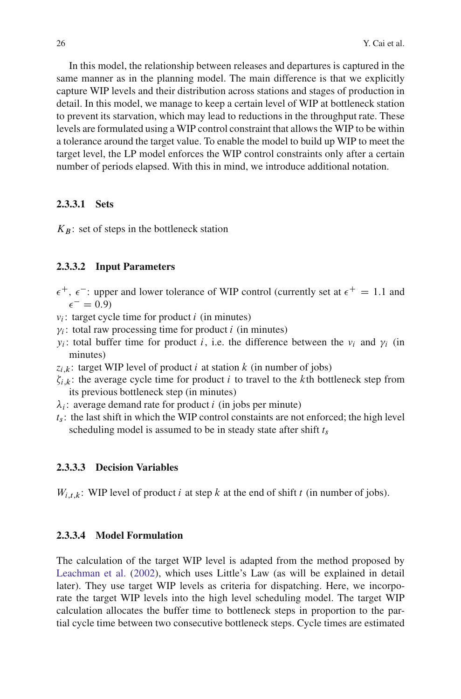In this model, the relationship between releases and departures is captured in the same manner as in the planning model. The main difference is that we explicitly capture WIP levels and their distribution across stations and stages of production in detail. In this model, we manage to keep a certain level of WIP at bottleneck station to prevent its starvation, which may lead to reductions in the throughput rate. These levels are formulated using a WIP control constraint that allows the WIP to be within a tolerance around the target value. To enable the model to build up WIP to meet the target level, the LP model enforces the WIP control constraints only after a certain number of periods elapsed. With this in mind, we introduce additional notation.

#### **2.3.3.1 Sets**

 $K_B$ : set of steps in the bottleneck station

#### **2.3.3.2 Input Parameters**

 $\epsilon^+$ ,  $\epsilon^-$ : upper and lower tolerance of WIP control (currently set at  $\epsilon^+ = 1.1$  and  $\epsilon^{-} = 0.9$ 

- $v_i$ : target cycle time for product *i* (in minutes)
- $\gamma_i$ : total raw processing time for product *i* (in minutes)
- $y_i$ : total buffer time for product i, i.e. the difference between the  $v_i$  and  $\gamma_i$  (in minutes)
- $z_{i,k}$ : target WIP level of product i at station k (in number of jobs)
- $\zeta_{i,k}$ : the average cycle time for product i to travel to the kth bottleneck step from its previous bottleneck step (in minutes)
- $\lambda_i$ : average demand rate for product *i* (in jobs per minute)
- $t_s$ : the last shift in which the WIP control constaints are not enforced; the high level scheduling model is assumed to be in steady state after shift  $t_s$

#### **2.3.3.3 Decision Variables**

 $W_{i,t,k}$ : WIP level of product i at step k at the end of shift t (in number of jobs).

#### **2.3.3.4 Model Formulation**

The calculation of the target WIP level is adapted from the method proposed by [Leachman et al.](#page-27-13) [\(2002\)](#page-27-13), which uses Little's Law (as will be explained in detail later). They use target WIP levels as criteria for dispatching. Here, we incorporate the target WIP levels into the high level scheduling model. The target WIP calculation allocates the buffer time to bottleneck steps in proportion to the partial cycle time between two consecutive bottleneck steps. Cycle times are estimated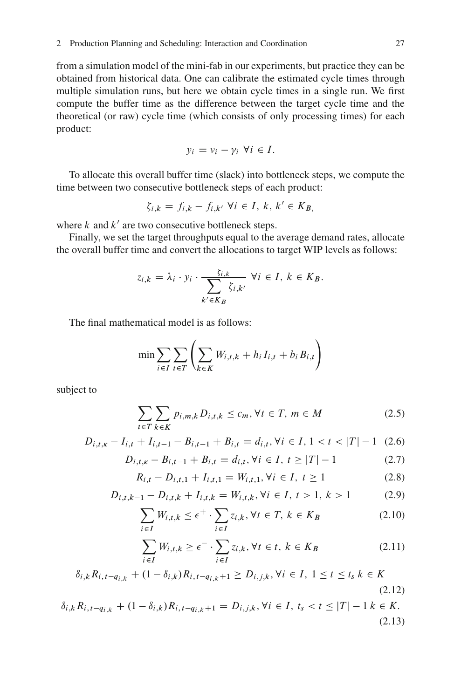from a simulation model of the mini-fab in our experiments, but practice they can be obtained from historical data. One can calibrate the estimated cycle times through multiple simulation runs, but here we obtain cycle times in a single run. We first compute the buffer time as the difference between the target cycle time and the theoretical (or raw) cycle time (which consists of only processing times) for each product:

$$
y_i = v_i - \gamma_i \ \forall i \in I.
$$

To allocate this overall buffer time (slack) into bottleneck steps, we compute the time between two consecutive bottleneck steps of each product:

$$
\zeta_{i,k} = f_{i,k} - f_{i,k'} \ \forall i \in I, \ k, k' \in K_B,
$$

where  $k$  and  $k'$  are two consecutive bottleneck steps.

Finally, we set the target throughputs equal to the average demand rates, allocate the overall buffer time and convert the allocations to target WIP levels as follows:

$$
z_{i,k} = \lambda_i \cdot y_i \cdot \frac{\xi_{i,k}}{\sum_{k' \in K_B} \xi_{i,k'}} \ \forall i \in I, \ k \in K_B.
$$

The final mathematical model is as follows:

$$
\min \sum_{i \in I} \sum_{t \in T} \left( \sum_{k \in K} W_{i,t,k} + h_i I_{i,t} + b_i B_{i,t} \right)
$$

subject to

$$
\sum_{t \in T} \sum_{k \in K} p_{i,m,k} D_{i,t,k} \le c_m, \forall t \in T, m \in M
$$
\n(2.5)

$$
D_{i,t,\kappa} - I_{i,t} + I_{i,t-1} - B_{i,t-1} + B_{i,t} = d_{i,t}, \forall i \in I, 1 < t < |T| - 1 \tag{2.6}
$$

$$
D_{i,t,\kappa} - B_{i,t-1} + B_{i,t} = d_{i,t}, \forall i \in I, t \ge |T| - 1
$$
\n(2.7)

$$
R_{i,t} - D_{i,t,1} + I_{i,t,1} = W_{i,t,1}, \forall i \in I, t \ge 1
$$
\n(2.8)

$$
D_{i,t,k-1} - D_{i,t,k} + I_{i,t,k} = W_{i,t,k}, \forall i \in I, t > 1, k > 1
$$
 (2.9)

$$
\sum_{i \in I} W_{i,t,k} \le \epsilon^+ \cdot \sum_{i \in I} z_{i,k}, \forall t \in T, k \in K_B
$$
\n(2.10)

$$
\sum_{i \in I} W_{i,t,k} \ge \epsilon^{-} \cdot \sum_{i \in I} z_{i,k}, \forall t \in t, k \in K_B
$$
\n(2.11)

$$
\delta_{i,k} R_{i,t-q_{i,k}} + (1 - \delta_{i,k}) R_{i,t-q_{i,k}+1} \ge D_{i,j,k}, \forall i \in I, 1 \le t \le t_s k \in K
$$
\n(2.12)

$$
\delta_{i,k} R_{i,t-q_{i,k}} + (1 - \delta_{i,k}) R_{i,t-q_{i,k}+1} = D_{i,j,k}, \forall i \in I, t_s < t \le |T| - 1 k \in K.
$$
\n(2.13)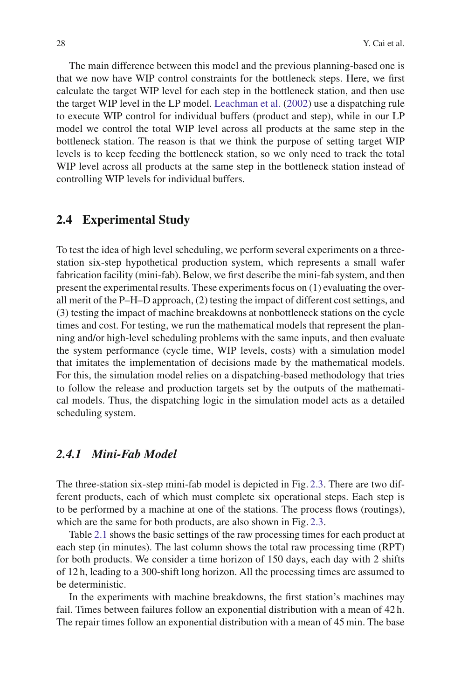The main difference between this model and the previous planning-based one is that we now have WIP control constraints for the bottleneck steps. Here, we first calculate the target WIP level for each step in the bottleneck station, and then use the target WIP level in the LP model. [Leachman et al.](#page-27-13) [\(2002](#page-27-13)) use a dispatching rule to execute WIP control for individual buffers (product and step), while in our LP model we control the total WIP level across all products at the same step in the bottleneck station. The reason is that we think the purpose of setting target WIP levels is to keep feeding the bottleneck station, so we only need to track the total WIP level across all products at the same step in the bottleneck station instead of controlling WIP levels for individual buffers.

#### <span id="page-13-0"></span>**2.4 Experimental Study**

To test the idea of high level scheduling, we perform several experiments on a threestation six-step hypothetical production system, which represents a small wafer fabrication facility (mini-fab). Below, we first describe the mini-fab system, and then present the experimental results. These experiments focus on (1) evaluating the overall merit of the P–H–D approach, (2) testing the impact of different cost settings, and (3) testing the impact of machine breakdowns at nonbottleneck stations on the cycle times and cost. For testing, we run the mathematical models that represent the planning and/or high-level scheduling problems with the same inputs, and then evaluate the system performance (cycle time, WIP levels, costs) with a simulation model that imitates the implementation of decisions made by the mathematical models. For this, the simulation model relies on a dispatching-based methodology that tries to follow the release and production targets set by the outputs of the mathematical models. Thus, the dispatching logic in the simulation model acts as a detailed scheduling system.

# <span id="page-13-1"></span>*2.4.1 Mini-Fab Model*

The three-station six-step mini-fab model is depicted in Fig. [2.3.](#page-14-0) There are two different products, each of which must complete six operational steps. Each step is to be performed by a machine at one of the stations. The process flows (routings), which are the same for both products, are also shown in Fig. [2.3.](#page-14-0)

Table [2.1](#page-14-1) shows the basic settings of the raw processing times for each product at each step (in minutes). The last column shows the total raw processing time (RPT) for both products. We consider a time horizon of 150 days, each day with 2 shifts of 12 h, leading to a 300-shift long horizon. All the processing times are assumed to be deterministic.

In the experiments with machine breakdowns, the first station's machines may fail. Times between failures follow an exponential distribution with a mean of 42 h. The repair times follow an exponential distribution with a mean of 45 min. The base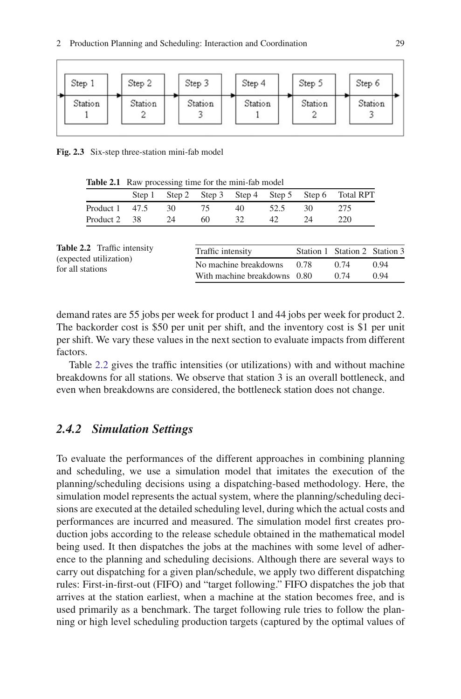| Step 1  | Step 2  | Step 3  | Step 4  | Step 5  | Step 6  |
|---------|---------|---------|---------|---------|---------|
| Station | Station | Station | Station | Station | Station |

<span id="page-14-0"></span>**Fig. 2.3** Six-step three-station mini-fab model

<span id="page-14-1"></span>

|                                            |                                    |        |                       | Table 2.1 Raw processing time for the mini-fab model |        |        |        |                               |      |
|--------------------------------------------|------------------------------------|--------|-----------------------|------------------------------------------------------|--------|--------|--------|-------------------------------|------|
|                                            |                                    | Step 1 | Step 2                | Step 3                                               | Step 4 | Step 5 | Step 6 | <b>Total RPT</b>              |      |
|                                            | Product 1                          | 47.5   | 30                    | 75                                                   | 40     | 52.5   | 30     | 275                           |      |
|                                            | Product 2                          | 38     | 24                    | 60                                                   | 32     | 42     | 24     | 220                           |      |
|                                            | <b>Table 2.2</b> Traffic intensity |        |                       | Traffic intensity                                    |        |        |        | Station 1 Station 2 Station 3 |      |
| (expected utilization)<br>for all stations |                                    |        | No machine breakdowns |                                                      |        | 0.78   | 0.74   | 0.94                          |      |
|                                            |                                    |        |                       | With machine breakdowns 0.80                         |        |        |        | 0.74                          | 0.94 |

<span id="page-14-2"></span>demand rates are 55 jobs per week for product 1 and 44 jobs per week for product 2. The backorder cost is \$50 per unit per shift, and the inventory cost is \$1 per unit per shift. We vary these values in the next section to evaluate impacts from different factors.

Table [2.2](#page-14-2) gives the traffic intensities (or utilizations) with and without machine breakdowns for all stations. We observe that station 3 is an overall bottleneck, and even when breakdowns are considered, the bottleneck station does not change.

#### *2.4.2 Simulation Settings*

To evaluate the performances of the different approaches in combining planning and scheduling, we use a simulation model that imitates the execution of the planning/scheduling decisions using a dispatching-based methodology. Here, the simulation model represents the actual system, where the planning/scheduling decisions are executed at the detailed scheduling level, during which the actual costs and performances are incurred and measured. The simulation model first creates production jobs according to the release schedule obtained in the mathematical model being used. It then dispatches the jobs at the machines with some level of adherence to the planning and scheduling decisions. Although there are several ways to carry out dispatching for a given plan/schedule, we apply two different dispatching rules: First-in-first-out (FIFO) and "target following." FIFO dispatches the job that arrives at the station earliest, when a machine at the station becomes free, and is used primarily as a benchmark. The target following rule tries to follow the planning or high level scheduling production targets (captured by the optimal values of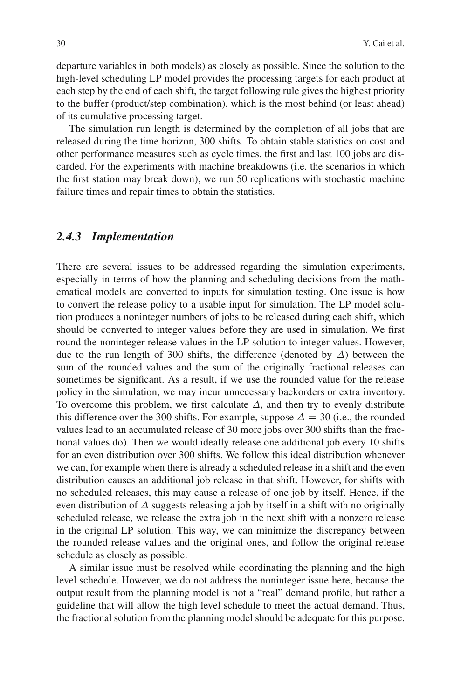departure variables in both models) as closely as possible. Since the solution to the high-level scheduling LP model provides the processing targets for each product at each step by the end of each shift, the target following rule gives the highest priority to the buffer (product/step combination), which is the most behind (or least ahead) of its cumulative processing target.

The simulation run length is determined by the completion of all jobs that are released during the time horizon, 300 shifts. To obtain stable statistics on cost and other performance measures such as cycle times, the first and last 100 jobs are discarded. For the experiments with machine breakdowns (i.e. the scenarios in which the first station may break down), we run 50 replications with stochastic machine failure times and repair times to obtain the statistics.

## *2.4.3 Implementation*

There are several issues to be addressed regarding the simulation experiments, especially in terms of how the planning and scheduling decisions from the mathematical models are converted to inputs for simulation testing. One issue is how to convert the release policy to a usable input for simulation. The LP model solution produces a noninteger numbers of jobs to be released during each shift, which should be converted to integer values before they are used in simulation. We first round the noninteger release values in the LP solution to integer values. However, due to the run length of 300 shifts, the difference (denoted by  $\Delta$ ) between the sum of the rounded values and the sum of the originally fractional releases can sometimes be significant. As a result, if we use the rounded value for the release policy in the simulation, we may incur unnecessary backorders or extra inventory. To overcome this problem, we first calculate  $\Delta$ , and then try to evenly distribute this difference over the 300 shifts. For example, suppose  $\Delta = 30$  (i.e., the rounded values lead to an accumulated release of 30 more jobs over 300 shifts than the fractional values do). Then we would ideally release one additional job every 10 shifts for an even distribution over 300 shifts. We follow this ideal distribution whenever we can, for example when there is already a scheduled release in a shift and the even distribution causes an additional job release in that shift. However, for shifts with no scheduled releases, this may cause a release of one job by itself. Hence, if the even distribution of  $\Delta$  suggests releasing a job by itself in a shift with no originally scheduled release, we release the extra job in the next shift with a nonzero release in the original LP solution. This way, we can minimize the discrepancy between the rounded release values and the original ones, and follow the original release schedule as closely as possible.

A similar issue must be resolved while coordinating the planning and the high level schedule. However, we do not address the noninteger issue here, because the output result from the planning model is not a "real" demand profile, but rather a guideline that will allow the high level schedule to meet the actual demand. Thus, the fractional solution from the planning model should be adequate for this purpose.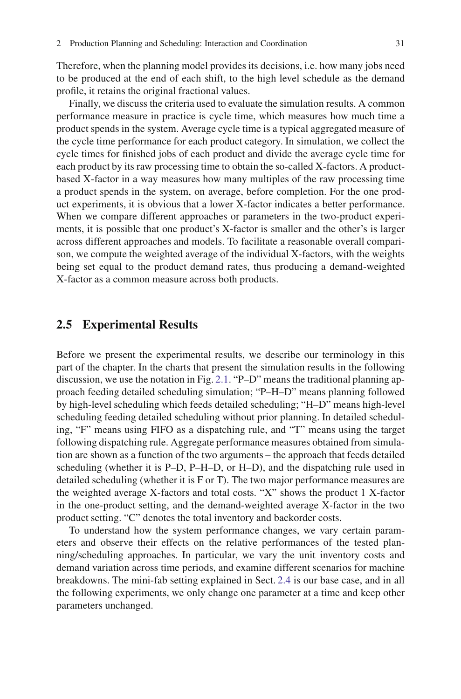Therefore, when the planning model provides its decisions, i.e. how many jobs need to be produced at the end of each shift, to the high level schedule as the demand profile, it retains the original fractional values.

Finally, we discuss the criteria used to evaluate the simulation results. A common performance measure in practice is cycle time, which measures how much time a product spends in the system. Average cycle time is a typical aggregated measure of the cycle time performance for each product category. In simulation, we collect the cycle times for finished jobs of each product and divide the average cycle time for each product by its raw processing time to obtain the so-called X-factors. A productbased X-factor in a way measures how many multiples of the raw processing time a product spends in the system, on average, before completion. For the one product experiments, it is obvious that a lower X-factor indicates a better performance. When we compare different approaches or parameters in the two-product experiments, it is possible that one product's X-factor is smaller and the other's is larger across different approaches and models. To facilitate a reasonable overall comparison, we compute the weighted average of the individual X-factors, with the weights being set equal to the product demand rates, thus producing a demand-weighted X-factor as a common measure across both products.

### <span id="page-16-0"></span>**2.5 Experimental Results**

Before we present the experimental results, we describe our terminology in this part of the chapter. In the charts that present the simulation results in the following discussion, we use the notation in Fig. [2.1.](#page-7-0) "P–D" means the traditional planning approach feeding detailed scheduling simulation; "P–H–D" means planning followed by high-level scheduling which feeds detailed scheduling; "H–D" means high-level scheduling feeding detailed scheduling without prior planning. In detailed scheduling, "F" means using FIFO as a dispatching rule, and "T" means using the target following dispatching rule. Aggregate performance measures obtained from simulation are shown as a function of the two arguments – the approach that feeds detailed scheduling (whether it is P–D, P–H–D, or H–D), and the dispatching rule used in detailed scheduling (whether it is F or T). The two major performance measures are the weighted average X-factors and total costs. "X" shows the product 1 X-factor in the one-product setting, and the demand-weighted average X-factor in the two product setting. "C" denotes the total inventory and backorder costs.

To understand how the system performance changes, we vary certain parameters and observe their effects on the relative performances of the tested planning/scheduling approaches. In particular, we vary the unit inventory costs and demand variation across time periods, and examine different scenarios for machine breakdowns. The mini-fab setting explained in Sect. [2.4](#page-13-0) is our base case, and in all the following experiments, we only change one parameter at a time and keep other parameters unchanged.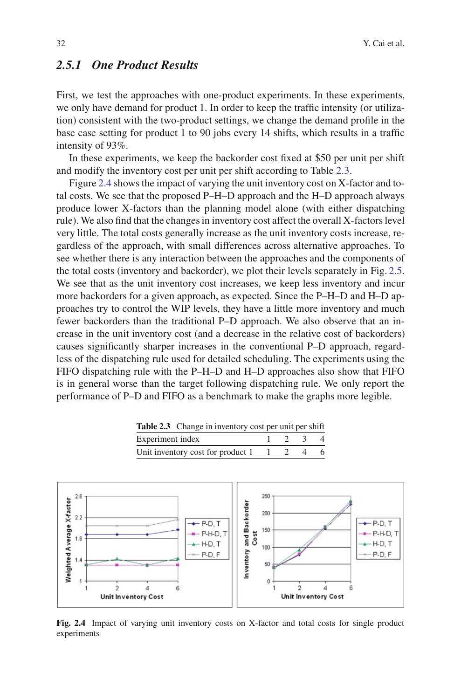# *2.5.1 One Product Results*

First, we test the approaches with one-product experiments. In these experiments, we only have demand for product 1. In order to keep the traffic intensity (or utilization) consistent with the two-product settings, we change the demand profile in the base case setting for product 1 to 90 jobs every 14 shifts, which results in a traffic intensity of 93%.

In these experiments, we keep the backorder cost fixed at \$50 per unit per shift and modify the inventory cost per unit per shift according to Table [2.3.](#page-17-0)

Figure [2.4](#page-17-1) shows the impact of varying the unit inventory cost on X-factor and total costs. We see that the proposed P–H–D approach and the H–D approach always produce lower X-factors than the planning model alone (with either dispatching rule). We also find that the changes in inventory cost affect the overall X-factors level very little. The total costs generally increase as the unit inventory costs increase, regardless of the approach, with small differences across alternative approaches. To see whether there is any interaction between the approaches and the components of the total costs (inventory and backorder), we plot their levels separately in Fig. [2.5.](#page-18-0) We see that as the unit inventory cost increases, we keep less inventory and incur more backorders for a given approach, as expected. Since the P–H–D and H–D approaches try to control the WIP levels, they have a little more inventory and much fewer backorders than the traditional P–D approach. We also observe that an increase in the unit inventory cost (and a decrease in the relative cost of backorders) causes significantly sharper increases in the conventional P–D approach, regardless of the dispatching rule used for detailed scheduling. The experiments using the FIFO dispatching rule with the P–H–D and H–D approaches also show that FIFO is in general worse than the target following dispatching rule. We only report the performance of P–D and FIFO as a benchmark to make the graphs more legible.

<span id="page-17-0"></span>

|                  | Table 2.3 Change in inventory cost per unit per shift |                     |         |  |
|------------------|-------------------------------------------------------|---------------------|---------|--|
| Experiment index |                                                       |                     | 1 2 3 4 |  |
|                  | Unit inventory cost for product 1                     | $1 \quad 2 \quad 4$ |         |  |



<span id="page-17-1"></span>**Fig. 2.4** Impact of varying unit inventory costs on X-factor and total costs for single product experiments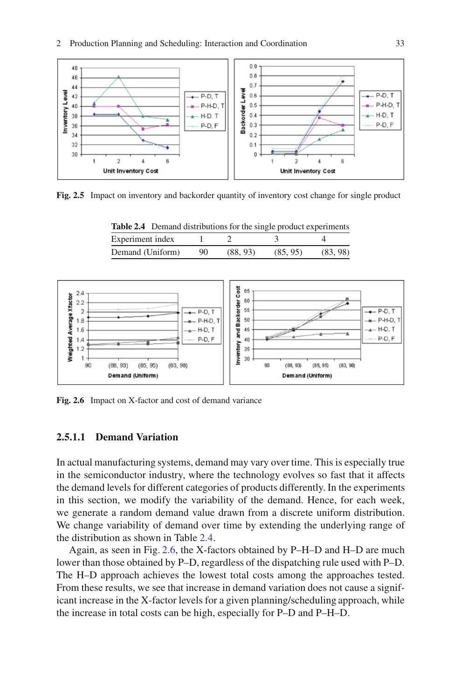

**Fig. 2.5** Impact on inventory and backorder quantity of inventory cost change for single product

<span id="page-18-1"></span><span id="page-18-0"></span>

| <b>Table 2.4</b> Demand distributions for the single product experiments |    |          |          |          |
|--------------------------------------------------------------------------|----|----------|----------|----------|
| Experiment index                                                         |    |          |          |          |
| Demand (Uniform)                                                         | 90 | (88, 93) | (85, 95) | (83, 98) |



<span id="page-18-2"></span>**Fig. 2.6** Impact on X-factor and cost of demand variance

#### **2.5.1.1 Demand Variation**

In actual manufacturing systems, demand may vary over time. This is especially true in the semiconductor industry, where the technology evolves so fast that it affects the demand levels for different categories of products differently. In the experiments in this section, we modify the variability of the demand. Hence, for each week, we generate a random demand value drawn from a discrete uniform distribution. We change variability of demand over time by extending the underlying range of the distribution as shown in Table [2.4.](#page-18-1)

Again, as seen in Fig. [2.6,](#page-18-2) the X-factors obtained by P–H–D and H–D are much lower than those obtained by P–D, regardless of the dispatching rule used with P–D. The H–D approach achieves the lowest total costs among the approaches tested. From these results, we see that increase in demand variation does not cause a significant increase in the X-factor levels for a given planning/scheduling approach, while the increase in total costs can be high, especially for P–D and P–H–D.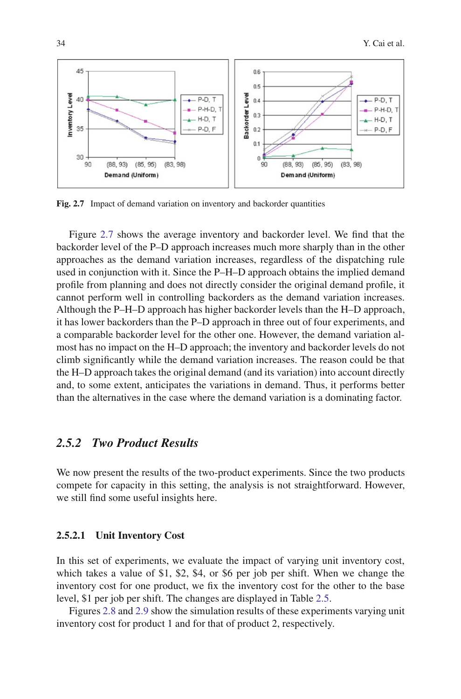

<span id="page-19-0"></span>Fig. 2.7 Impact of demand variation on inventory and backorder quantities

Figure [2.7](#page-19-0) shows the average inventory and backorder level. We find that the backorder level of the P–D approach increases much more sharply than in the other approaches as the demand variation increases, regardless of the dispatching rule used in conjunction with it. Since the P–H–D approach obtains the implied demand profile from planning and does not directly consider the original demand profile, it cannot perform well in controlling backorders as the demand variation increases. Although the P–H–D approach has higher backorder levels than the H–D approach, it has lower backorders than the P–D approach in three out of four experiments, and a comparable backorder level for the other one. However, the demand variation almost has no impact on the H–D approach; the inventory and backorder levels do not climb significantly while the demand variation increases. The reason could be that the H–D approach takes the original demand (and its variation) into account directly and, to some extent, anticipates the variations in demand. Thus, it performs better than the alternatives in the case where the demand variation is a dominating factor.

# *2.5.2 Two Product Results*

We now present the results of the two-product experiments. Since the two products compete for capacity in this setting, the analysis is not straightforward. However, we still find some useful insights here.

#### **2.5.2.1 Unit Inventory Cost**

In this set of experiments, we evaluate the impact of varying unit inventory cost, which takes a value of \$1, \$2, \$4, or \$6 per job per shift. When we change the inventory cost for one product, we fix the inventory cost for the other to the base level, \$1 per job per shift. The changes are displayed in Table [2.5.](#page-20-0)

Figures [2.8](#page-20-1) and [2.9](#page-20-2) show the simulation results of these experiments varying unit inventory cost for product 1 and for that of product 2, respectively.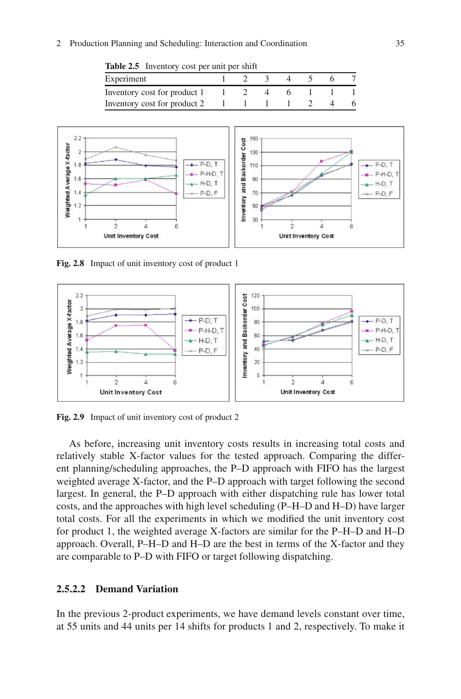#### 2 Production Planning and Scheduling: Interaction and Coordination 35

<span id="page-20-0"></span>

| <b>Lable 2.3</b> Inventory cost per unit per sinfu |  |  |  |  |  |  |  |  |
|----------------------------------------------------|--|--|--|--|--|--|--|--|
| Experiment                                         |  |  |  |  |  |  |  |  |
| Inventory cost for product 1                       |  |  |  |  |  |  |  |  |
| Inventory cost for product 2                       |  |  |  |  |  |  |  |  |





<span id="page-20-1"></span>**Fig. 2.8** Impact of unit inventory cost of product 1



<span id="page-20-2"></span>**Fig. 2.9** Impact of unit inventory cost of product 2

As before, increasing unit inventory costs results in increasing total costs and relatively stable X-factor values for the tested approach. Comparing the different planning/scheduling approaches, the P–D approach with FIFO has the largest weighted average X-factor, and the P–D approach with target following the second largest. In general, the P–D approach with either dispatching rule has lower total costs, and the approaches with high level scheduling (P–H–D and H–D) have larger total costs. For all the experiments in which we modified the unit inventory cost for product 1, the weighted average X-factors are similar for the P–H–D and H–D approach. Overall, P–H–D and H–D are the best in terms of the X-factor and they are comparable to P–D with FIFO or target following dispatching.

#### **2.5.2.2 Demand Variation**

In the previous 2-product experiments, we have demand levels constant over time, at 55 units and 44 units per 14 shifts for products 1 and 2, respectively. To make it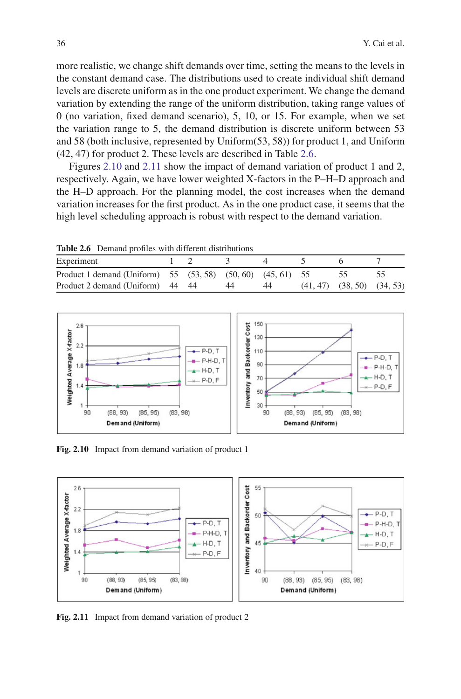more realistic, we change shift demands over time, setting the means to the levels in the constant demand case. The distributions used to create individual shift demand levels are discrete uniform as in the one product experiment. We change the demand variation by extending the range of the uniform distribution, taking range values of 0 (no variation, fixed demand scenario), 5, 10, or 15. For example, when we set the variation range to 5, the demand distribution is discrete uniform between 53 and 58 (both inclusive, represented by Uniform(53, 58)) for product 1, and Uniform (42, 47) for product 2. These levels are described in Table [2.6.](#page-21-0)

Figures [2.10](#page-21-1) and [2.11](#page-21-2) show the impact of demand variation of product 1 and 2, respectively. Again, we have lower weighted X-factors in the P–H–D approach and the H–D approach. For the planning model, the cost increases when the demand variation increases for the first product. As in the one product case, it seems that the high level scheduling approach is robust with respect to the demand variation.

**Table 2.6** Demand profiles with different distributions

<span id="page-21-0"></span>

| Experiment                                                  |  |    |    |                                  |  |
|-------------------------------------------------------------|--|----|----|----------------------------------|--|
| Product 1 demand (Uniform) 55 (53, 58) (50, 60) (45, 61) 55 |  |    |    |                                  |  |
| Product 2 demand (Uniform) 44 44                            |  | 44 | 44 | $(41, 47)$ $(38, 50)$ $(34, 53)$ |  |
|                                                             |  |    |    |                                  |  |



<span id="page-21-1"></span>**Fig. 2.10** Impact from demand variation of product 1



<span id="page-21-2"></span>**Fig. 2.11** Impact from demand variation of product 2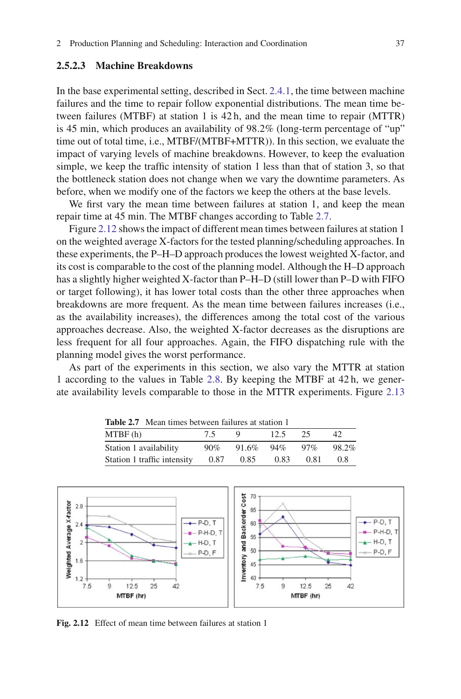#### **2.5.2.3 Machine Breakdowns**

In the base experimental setting, described in Sect. [2.4.1,](#page-13-1) the time between machine failures and the time to repair follow exponential distributions. The mean time between failures (MTBF) at station 1 is 42 h, and the mean time to repair (MTTR) is 45 min, which produces an availability of 98.2% (long-term percentage of "up" time out of total time, i.e., MTBF/(MTBF+MTTR)). In this section, we evaluate the impact of varying levels of machine breakdowns. However, to keep the evaluation simple, we keep the traffic intensity of station 1 less than that of station 3, so that the bottleneck station does not change when we vary the downtime parameters. As before, when we modify one of the factors we keep the others at the base levels.

We first vary the mean time between failures at station 1, and keep the mean repair time at 45 min. The MTBF changes according to Table [2.7.](#page-22-0)

Figure [2.12](#page-22-1) shows the impact of different mean times between failures at station 1 on the weighted average X-factors for the tested planning/scheduling approaches. In these experiments, the P–H–D approach produces the lowest weighted X-factor, and its cost is comparable to the cost of the planning model. Although the H–D approach has a slightly higher weighted X-factor than P–H–D (still lower than P–D with FIFO or target following), it has lower total costs than the other three approaches when breakdowns are more frequent. As the mean time between failures increases (i.e., as the availability increases), the differences among the total cost of the various approaches decrease. Also, the weighted X-factor decreases as the disruptions are less frequent for all four approaches. Again, the FIFO dispatching rule with the planning model gives the worst performance.

As part of the experiments in this section, we also vary the MTTR at station 1 according to the values in Table [2.8.](#page-23-0) By keeping the MTBF at 42 h, we generate availability levels comparable to those in the MTTR experiments. Figure [2.13](#page-23-1)

<span id="page-22-0"></span>

| <b>Table 2.7</b> Mean times between failures at station 1 |        |                 |      |        |       |  |  |  |
|-----------------------------------------------------------|--------|-----------------|------|--------|-------|--|--|--|
| MTBF(h)                                                   | 75     | $\overline{9}$  | 12.5 | 25.    | 42.   |  |  |  |
| Station 1 availability                                    | $90\%$ | $91.6\%$ $94\%$ |      | $97\%$ | 98.2% |  |  |  |
| Station 1 traffic intensity                               | 0.87   | 0.85            | 0.83 | 0.81   | 0.8   |  |  |  |



<span id="page-22-1"></span>**Fig. 2.12** Effect of mean time between failures at station 1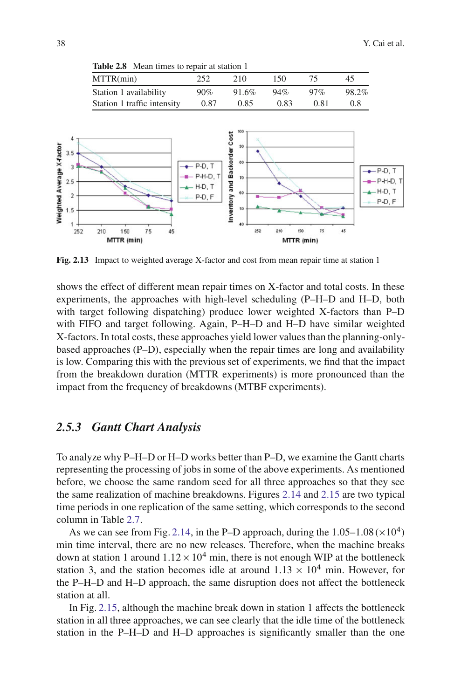<span id="page-23-0"></span>**Table 2.8** Mean times to repair at station 1

| MTTR(min)                   | 252  | 210.  | 150  | 75     | 45    |
|-----------------------------|------|-------|------|--------|-------|
| Station 1 availability      | 90%  | 91.6% | 94%  | $97\%$ | 98.2% |
| Station 1 traffic intensity | 0.87 | 0.85  | 0.83 | 0.81   | 0.8   |



<span id="page-23-1"></span>**Fig. 2.13** Impact to weighted average X-factor and cost from mean repair time at station 1

shows the effect of different mean repair times on X-factor and total costs. In these experiments, the approaches with high-level scheduling (P–H–D and H–D, both with target following dispatching) produce lower weighted X-factors than P–D with FIFO and target following. Again, P–H–D and H–D have similar weighted X-factors. In total costs, these approaches yield lower values than the planning-onlybased approaches (P–D), especially when the repair times are long and availability is low. Comparing this with the previous set of experiments, we find that the impact from the breakdown duration (MTTR experiments) is more pronounced than the impact from the frequency of breakdowns (MTBF experiments).

### *2.5.3 Gantt Chart Analysis*

To analyze why P–H–D or H–D works better than P–D, we examine the Gantt charts representing the processing of jobs in some of the above experiments. As mentioned before, we choose the same random seed for all three approaches so that they see the same realization of machine breakdowns. Figures [2.14](#page-24-0) and [2.15](#page-25-1) are two typical time periods in one replication of the same setting, which corresponds to the second column in Table [2.7.](#page-22-0)

As we can see from Fig. [2.14,](#page-24-0) in the P–D approach, during the  $1.05-1.08 \times 10^4$ ) min time interval, there are no new releases. Therefore, when the machine breaks down at station 1 around  $1.12 \times 10^4$  min, there is not enough WIP at the bottleneck station 3, and the station becomes idle at around  $1.13 \times 10^4$  min. However, for the P–H–D and H–D approach, the same disruption does not affect the bottleneck station at all.

In Fig. [2.15,](#page-25-1) although the machine break down in station 1 affects the bottleneck station in all three approaches, we can see clearly that the idle time of the bottleneck station in the P–H–D and H–D approaches is significantly smaller than the one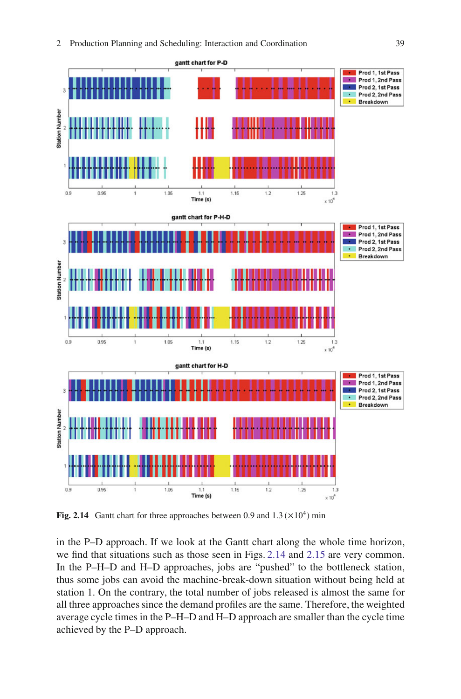

<span id="page-24-0"></span>**Fig. 2.14** Gantt chart for three approaches between 0.9 and  $1.3 \times 10^4$ ) min

in the P–D approach. If we look at the Gantt chart along the whole time horizon, we find that situations such as those seen in Figs. [2.14](#page-24-0) and [2.15](#page-25-1) are very common. In the P–H–D and H–D approaches, jobs are "pushed" to the bottleneck station, thus some jobs can avoid the machine-break-down situation without being held at station 1. On the contrary, the total number of jobs released is almost the same for all three approaches since the demand profiles are the same. Therefore, the weighted average cycle times in the P–H–D and H–D approach are smaller than the cycle time achieved by the P–D approach.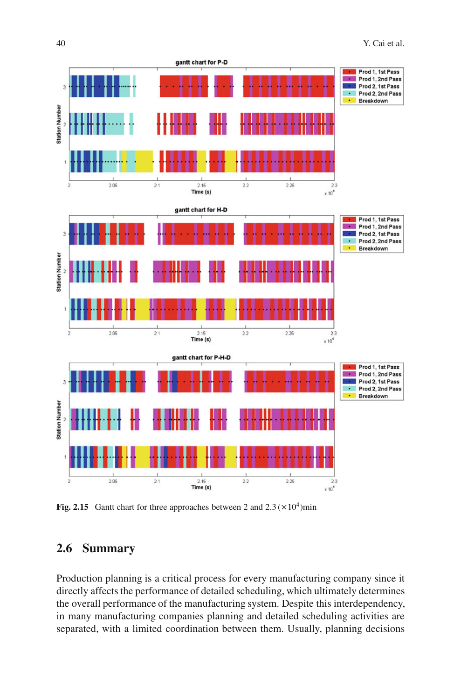

<span id="page-25-1"></span>**Fig. 2.15** Gantt chart for three approaches between 2 and  $2.3 \times 10^4$ )min

# <span id="page-25-0"></span>**2.6 Summary**

Production planning is a critical process for every manufacturing company since it directly affects the performance of detailed scheduling, which ultimately determines the overall performance of the manufacturing system. Despite this interdependency, in many manufacturing companies planning and detailed scheduling activities are separated, with a limited coordination between them. Usually, planning decisions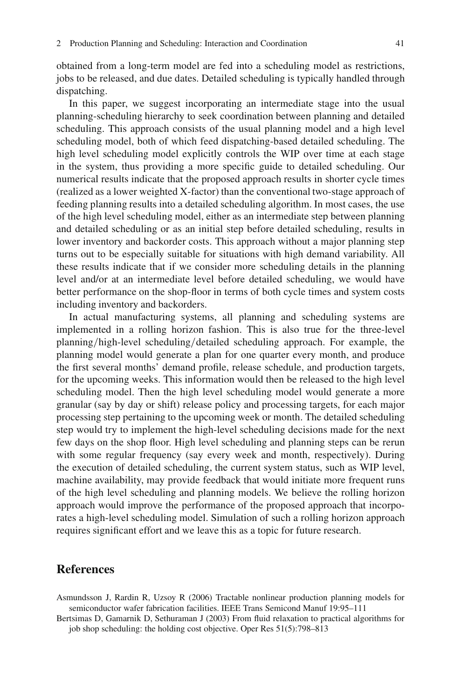obtained from a long-term model are fed into a scheduling model as restrictions, jobs to be released, and due dates. Detailed scheduling is typically handled through dispatching.

In this paper, we suggest incorporating an intermediate stage into the usual planning-scheduling hierarchy to seek coordination between planning and detailed scheduling. This approach consists of the usual planning model and a high level scheduling model, both of which feed dispatching-based detailed scheduling. The high level scheduling model explicitly controls the WIP over time at each stage in the system, thus providing a more specific guide to detailed scheduling. Our numerical results indicate that the proposed approach results in shorter cycle times (realized as a lower weighted X-factor) than the conventional two-stage approach of feeding planning results into a detailed scheduling algorithm. In most cases, the use of the high level scheduling model, either as an intermediate step between planning and detailed scheduling or as an initial step before detailed scheduling, results in lower inventory and backorder costs. This approach without a major planning step turns out to be especially suitable for situations with high demand variability. All these results indicate that if we consider more scheduling details in the planning level and/or at an intermediate level before detailed scheduling, we would have better performance on the shop-floor in terms of both cycle times and system costs including inventory and backorders.

In actual manufacturing systems, all planning and scheduling systems are implemented in a rolling horizon fashion. This is also true for the three-level planning/high-level scheduling/detailed scheduling approach. For example, the planning model would generate a plan for one quarter every month, and produce the first several months' demand profile, release schedule, and production targets, for the upcoming weeks. This information would then be released to the high level scheduling model. Then the high level scheduling model would generate a more granular (say by day or shift) release policy and processing targets, for each major processing step pertaining to the upcoming week or month. The detailed scheduling step would try to implement the high-level scheduling decisions made for the next few days on the shop floor. High level scheduling and planning steps can be rerun with some regular frequency (say every week and month, respectively). During the execution of detailed scheduling, the current system status, such as WIP level, machine availability, may provide feedback that would initiate more frequent runs of the high level scheduling and planning models. We believe the rolling horizon approach would improve the performance of the proposed approach that incorporates a high-level scheduling model. Simulation of such a rolling horizon approach requires significant effort and we leave this as a topic for future research.

# **References**

<span id="page-26-0"></span>Asmundsson J, Rardin R, Uzsoy R (2006) Tractable nonlinear production planning models for semiconductor wafer fabrication facilities. IEEE Trans Semicond Manuf 19:95–111

<span id="page-26-1"></span>Bertsimas D, Gamarnik D, Sethuraman J (2003) From fluid relaxation to practical algorithms for job shop scheduling: the holding cost objective. Oper Res 51(5):798–813